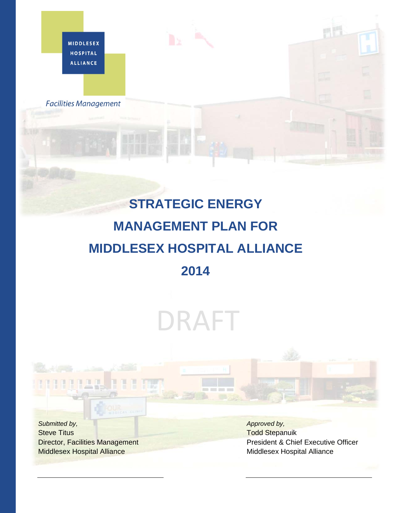**MIDDLESEX HOSPITAL ALLIANCE** 

**Facilities Management** 

## **STRATEGIC ENERGY MANAGEMENT PLAN FOR MIDDLESEX HOSPITAL ALLIANCE 2014**

# DRAFT

*Submitted by,*  Steve Titus Director, Facilities Management Middlesex Hospital Alliance

π

P

H

*Approved by,*  Todd Stepanuik President & Chief Executive Officer Middlesex Hospital Alliance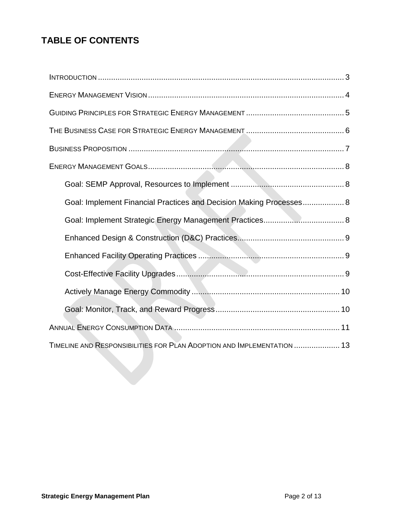## **TABLE OF CONTENTS**

| Goal: Implement Financial Practices and Decision Making Processes 8    |  |
|------------------------------------------------------------------------|--|
|                                                                        |  |
|                                                                        |  |
|                                                                        |  |
|                                                                        |  |
|                                                                        |  |
|                                                                        |  |
|                                                                        |  |
| TIMELINE AND RESPONSIBILITIES FOR PLAN ADOPTION AND IMPLEMENTATION  13 |  |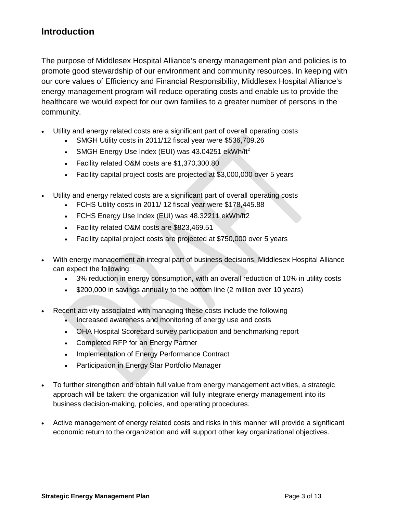## <span id="page-2-0"></span>**Introduction**

The purpose of Middlesex Hospital Alliance's energy management plan and policies is to promote good stewardship of our environment and community resources. In keeping with our core values of Efficiency and Financial Responsibility, Middlesex Hospital Alliance's energy management program will reduce operating costs and enable us to provide the healthcare we would expect for our own families to a greater number of persons in the community.

- Utility and energy related costs are a significant part of overall operating costs
	- SMGH Utility costs in 2011/12 fiscal year were \$536,709.26
	- SMGH Energy Use Index (EUI) was  $43.04251$  ekWh/ft<sup>2</sup>
	- Facility related O&M costs are \$1,370,300.80
	- Facility capital project costs are projected at \$3,000,000 over 5 years
- Utility and energy related costs are a significant part of overall operating costs
	- FCHS Utility costs in 2011/ 12 fiscal year were \$178,445.88
	- FCHS Energy Use Index (EUI) was 48.32211 ekWh/ft2
	- Facility related O&M costs are \$823,469.51
	- Facility capital project costs are projected at \$750,000 over 5 years
- With energy management an integral part of business decisions, Middlesex Hospital Alliance can expect the following:
	- 3% reduction in energy consumption, with an overall reduction of 10% in utility costs
	- \$200,000 in savings annually to the bottom line (2 million over 10 years)
- Recent activity associated with managing these costs include the following
	- Increased awareness and monitoring of energy use and costs
	- OHA Hospital Scorecard survey participation and benchmarking report
	- Completed RFP for an Energy Partner
	- Implementation of Energy Performance Contract
	- Participation in Energy Star Portfolio Manager
- To further strengthen and obtain full value from energy management activities, a strategic approach will be taken: the organization will fully integrate energy management into its business decision-making, policies, and operating procedures.
- Active management of energy related costs and risks in this manner will provide a significant economic return to the organization and will support other key organizational objectives.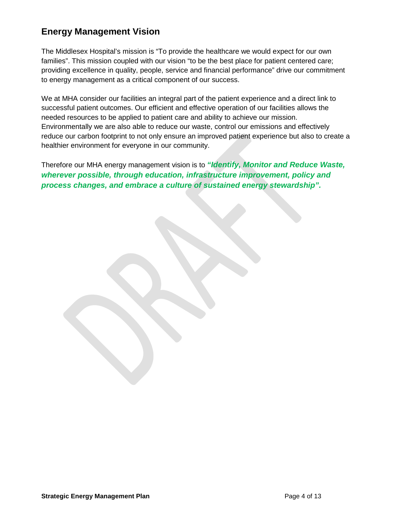## <span id="page-3-0"></span>**Energy Management Vision**

The Middlesex Hospital's mission is "To provide the healthcare we would expect for our own families". This mission coupled with our vision "to be the best place for patient centered care; providing excellence in quality, people, service and financial performance" drive our commitment to energy management as a critical component of our success.

We at MHA consider our facilities an integral part of the patient experience and a direct link to successful patient outcomes. Our efficient and effective operation of our facilities allows the needed resources to be applied to patient care and ability to achieve our mission. Environmentally we are also able to reduce our waste, control our emissions and effectively reduce our carbon footprint to not only ensure an improved patient experience but also to create a healthier environment for everyone in our community.

Therefore our MHA energy management vision is to *"Identify, Monitor and Reduce Waste, wherever possible, through education, infrastructure improvement, policy and process changes, and embrace a culture of sustained energy stewardship".*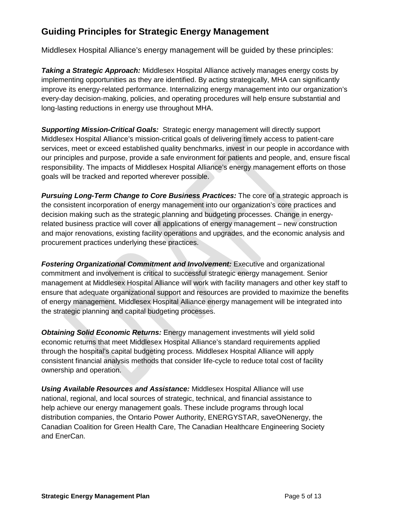## <span id="page-4-0"></span>**Guiding Principles for Strategic Energy Management**

Middlesex Hospital Alliance's energy management will be guided by these principles:

*Taking a Strategic Approach:* Middlesex Hospital Alliance actively manages energy costs by implementing opportunities as they are identified. By acting strategically, MHA can significantly improve its energy-related performance. Internalizing energy management into our organization's every-day decision-making, policies, and operating procedures will help ensure substantial and long-lasting reductions in energy use throughout MHA.

*Supporting Mission-Critical Goals:* Strategic energy management will directly support Middlesex Hospital Alliance's mission-critical goals of delivering timely access to patient-care services, meet or exceed established quality benchmarks, invest in our people in accordance with our principles and purpose, provide a safe environment for patients and people, and, ensure fiscal responsibility. The impacts of Middlesex Hospital Alliance's energy management efforts on those goals will be tracked and reported wherever possible.

*Pursuing Long-Term Change to Core Business Practices:* The core of a strategic approach is the consistent incorporation of energy management into our organization's core practices and decision making such as the strategic planning and budgeting processes. Change in energyrelated business practice will cover all applications of energy management – new construction and major renovations, existing facility operations and upgrades, and the economic analysis and procurement practices underlying these practices.

*Fostering Organizational Commitment and Involvement:* Executive and organizational commitment and involvement is critical to successful strategic energy management. Senior management at Middlesex Hospital Alliance will work with facility managers and other key staff to ensure that adequate organizational support and resources are provided to maximize the benefits of energy management. Middlesex Hospital Alliance energy management will be integrated into the strategic planning and capital budgeting processes.

*Obtaining Solid Economic Returns:* Energy management investments will yield solid economic returns that meet Middlesex Hospital Alliance's standard requirements applied through the hospital's capital budgeting process. Middlesex Hospital Alliance will apply consistent financial analysis methods that consider life-cycle to reduce total cost of facility ownership and operation.

*Using Available Resources and Assistance:* Middlesex Hospital Alliance will use national, regional, and local sources of strategic, technical, and financial assistance to help achieve our energy management goals. These include programs through local distribution companies, the Ontario Power Authority, ENERGYSTAR, saveONenergy, the Canadian Coalition for Green Health Care, The Canadian Healthcare Engineering Society and EnerCan.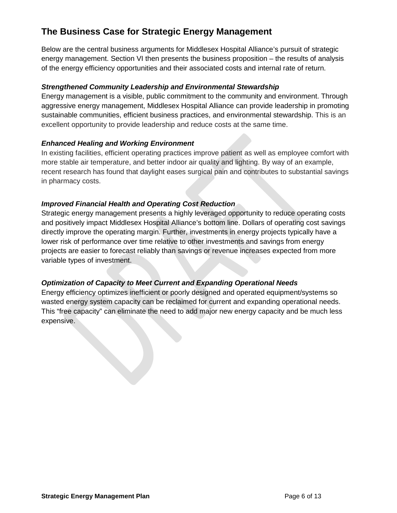## <span id="page-5-0"></span>**The Business Case for Strategic Energy Management**

Below are the central business arguments for Middlesex Hospital Alliance's pursuit of strategic energy management. Section VI then presents the business proposition – the results of analysis of the energy efficiency opportunities and their associated costs and internal rate of return.

#### *Strengthened Community Leadership and Environmental Stewardship*

Energy management is a visible, public commitment to the community and environment. Through aggressive energy management, Middlesex Hospital Alliance can provide leadership in promoting sustainable communities, efficient business practices, and environmental stewardship. This is an excellent opportunity to provide leadership and reduce costs at the same time.

#### *Enhanced Healing and Working Environment*

In existing facilities, efficient operating practices improve patient as well as employee comfort with more stable air temperature, and better indoor air quality and lighting. By way of an example, recent research has found that daylight eases surgical pain and contributes to substantial savings in pharmacy costs.

#### *Improved Financial Health and Operating Cost Reduction*

Strategic energy management presents a highly leveraged opportunity to reduce operating costs and positively impact Middlesex Hospital Alliance's bottom line. Dollars of operating cost savings directly improve the operating margin. Further, investments in energy projects typically have a lower risk of performance over time relative to other investments and savings from energy projects are easier to forecast reliably than savings or revenue increases expected from more variable types of investment.

## *Optimization of Capacity to Meet Current and Expanding Operational Needs*

Energy efficiency optimizes inefficient or poorly designed and operated equipment/systems so wasted energy system capacity can be reclaimed for current and expanding operational needs. This "free capacity" can eliminate the need to add major new energy capacity and be much less expensive.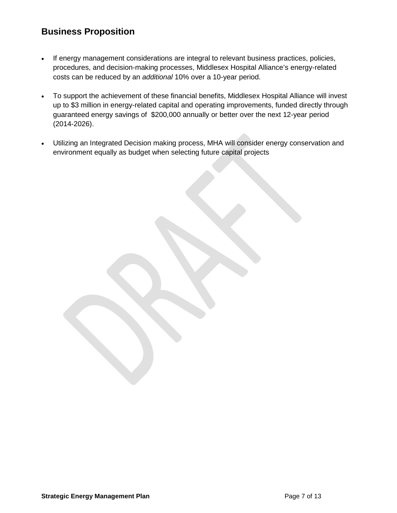## <span id="page-6-0"></span>**Business Proposition**

- If energy management considerations are integral to relevant business practices, policies, procedures, and decision-making processes, Middlesex Hospital Alliance's energy-related costs can be reduced by an *additional* 10% over a 10-year period.
- To support the achievement of these financial benefits, Middlesex Hospital Alliance will invest up to \$3 million in energy-related capital and operating improvements, funded directly through guaranteed energy savings of \$200,000 annually or better over the next 12-year period (2014-2026).
- Utilizing an Integrated Decision making process, MHA will consider energy conservation and environment equally as budget when selecting future capital projects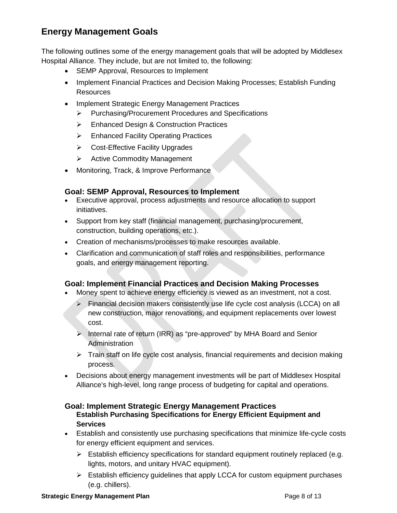## <span id="page-7-0"></span>**Energy Management Goals**

The following outlines some of the energy management goals that will be adopted by Middlesex Hospital Alliance. They include, but are not limited to, the following:

- SEMP Approval, Resources to Implement
- Implement Financial Practices and Decision Making Processes; Establish Funding **Resources**
- Implement Strategic Energy Management Practices
	- Purchasing/Procurement Procedures and Specifications
	- Enhanced Design & Construction Practices
	- **Enhanced Facility Operating Practices**
	- **►** Cost-Effective Facility Upgrades
	- $\triangleright$  Active Commodity Management
- Monitoring, Track, & Improve Performance

#### <span id="page-7-1"></span>**Goal: SEMP Approval, Resources to Implement**

- Executive approval, process adjustments and resource allocation to support initiatives.
- Support from key staff (financial management, purchasing/procurement, construction, building operations, etc.).
- Creation of mechanisms/processes to make resources available.
- Clarification and communication of staff roles and responsibilities, performance goals, and energy management reporting.

## <span id="page-7-2"></span>**Goal: Implement Financial Practices and Decision Making Processes**

- Money spent to achieve energy efficiency is viewed as an investment, not a cost.
	- $\triangleright$  Financial decision makers consistently use life cycle cost analysis (LCCA) on all new construction, major renovations, and equipment replacements over lowest cost.
	- $\triangleright$  Internal rate of return (IRR) as "pre-approved" by MHA Board and Senior **Administration**
	- $\triangleright$  Train staff on life cycle cost analysis, financial requirements and decision making process.
- Decisions about energy management investments will be part of Middlesex Hospital Alliance's high-level, long range process of budgeting for capital and operations.

#### <span id="page-7-3"></span>**Goal: Implement Strategic Energy Management Practices Establish Purchasing Specifications for Energy Efficient Equipment and Services**

- Establish and consistently use purchasing specifications that minimize life-cycle costs for energy efficient equipment and services.
	- $\triangleright$  Establish efficiency specifications for standard equipment routinely replaced (e.g. lights, motors, and unitary HVAC equipment).
	- $\triangleright$  Establish efficiency guidelines that apply LCCA for custom equipment purchases (e.g. chillers).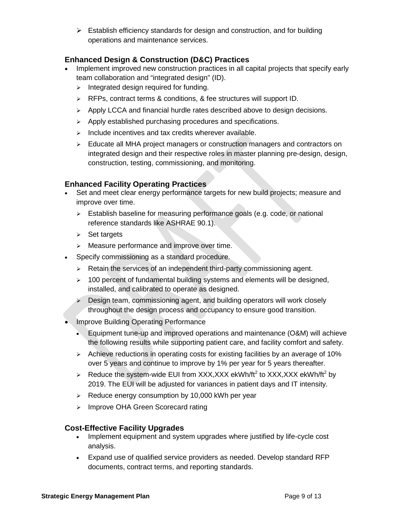$\triangleright$  Establish efficiency standards for design and construction, and for building operations and maintenance services.

## <span id="page-8-0"></span>**Enhanced Design & Construction (D&C) Practices**

- Implement improved new construction practices in all capital projects that specify early team collaboration and "integrated design" (ID).
	- $\triangleright$  Integrated design required for funding.
	- $\triangleright$  RFPs, contract terms & conditions, & fee structures will support ID.
	- $\triangleright$  Apply LCCA and financial hurdle rates described above to design decisions.
	- $\triangleright$  Apply established purchasing procedures and specifications.
	- $\triangleright$  Include incentives and tax credits wherever available.
	- $\triangleright$  Educate all MHA project managers or construction managers and contractors on integrated design and their respective roles in master planning pre-design, design, construction, testing, commissioning, and monitoring.

## <span id="page-8-1"></span>**Enhanced Facility Operating Practices**

- Set and meet clear energy performance targets for new build projects; measure and improve over time.
	- Establish baseline for measuring performance goals (e.g. code, or national reference standards like ASHRAE 90.1).
	- $\triangleright$  Set targets
	- > Measure performance and improve over time.
- Specify commissioning as a standard procedure.
	- $\triangleright$  Retain the services of an independent third-party commissioning agent.
	- $>$  100 percent of fundamental building systems and elements will be designed, installed, and calibrated to operate as designed.
	- $\triangleright$  Design team, commissioning agent, and building operators will work closely throughout the design process and occupancy to ensure good transition.
- Improve Building Operating Performance
	- Equipment tune-up and improved operations and maintenance (O&M) will achieve the following results while supporting patient care, and facility comfort and safety.
	- $\triangleright$  Achieve reductions in operating costs for existing facilities by an average of 10% over 5 years and continue to improve by 1% per year for 5 years thereafter.
	- $\triangleright$  Reduce the system-wide EUI from XXX, XXX ekWh/ft<sup>2</sup> to XXX, XXX ekWh/ft<sup>2</sup> by 2019. The EUI will be adjusted for variances in patient days and IT intensity.
	- $\triangleright$  Reduce energy consumption by 10,000 kWh per year
	- > Improve OHA Green Scorecard rating

## <span id="page-8-2"></span>**Cost-Effective Facility Upgrades**

- Implement equipment and system upgrades where justified by life-cycle cost analysis.
- Expand use of qualified service providers as needed. Develop standard RFP documents, contract terms, and reporting standards.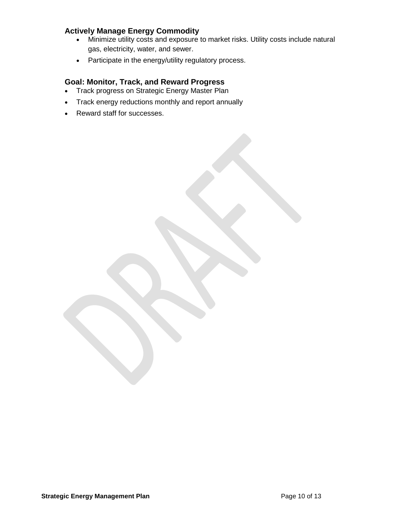## <span id="page-9-0"></span>**Actively Manage Energy Commodity**

- Minimize utility costs and exposure to market risks. Utility costs include natural gas, electricity, water, and sewer.
- Participate in the energy/utility regulatory process.

#### <span id="page-9-1"></span>**Goal: Monitor, Track, and Reward Progress**

- Track progress on Strategic Energy Master Plan
- Track energy reductions monthly and report annually
- Reward staff for successes.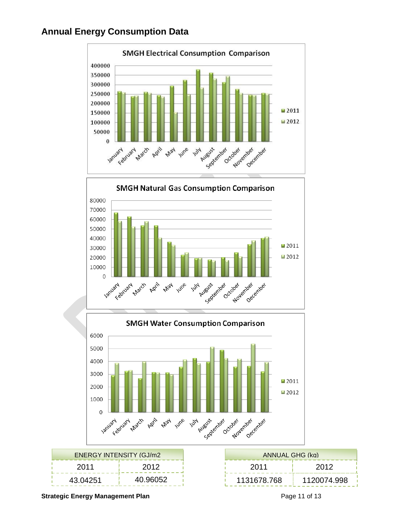## <span id="page-10-0"></span>**Annual Energy Consumption Data**



| <b>ENFRGY INTENSITY (G.I/m2)</b> |          |          | ANNUAL GHG (kg) |      |
|----------------------------------|----------|----------|-----------------|------|
|                                  | 2011     | 2012     | 2011            |      |
|                                  | 43.04251 | 40.96052 | 1131678.768     | 1120 |

| ANNUAL GHG (kg) |             |  |  |  |  |
|-----------------|-------------|--|--|--|--|
| 2011            | 2012        |  |  |  |  |
| 1131678.768     | 1120074.998 |  |  |  |  |

**Strategic Energy Management Plan Page 11 of 13 Page 11 of 13**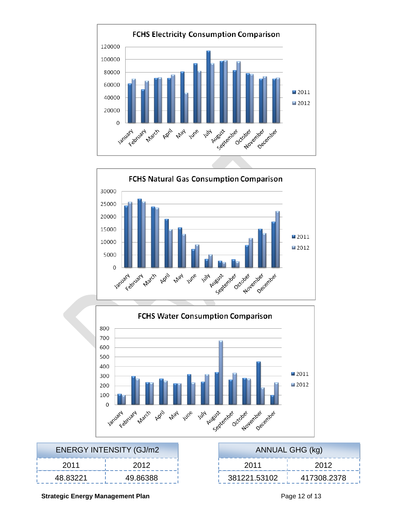





| <b>ENERGY INTENSITY (GJ/m2)</b> |          |          |              | <b>ANNUAL GHG (kg)</b> |
|---------------------------------|----------|----------|--------------|------------------------|
| 2012<br>2011                    |          | 2011     |              |                        |
|                                 | 48.83221 | 49.86388 | 381221.53102 | 41730                  |

| <b>ANNUAL GHG (kg)</b> |             |  |  |  |
|------------------------|-------------|--|--|--|
| 2011                   | 2012        |  |  |  |
| 381221.53102           | 417308.2378 |  |  |  |

#### **Strategic Energy Management Plan Page 12 of 13** Page 12 of 13